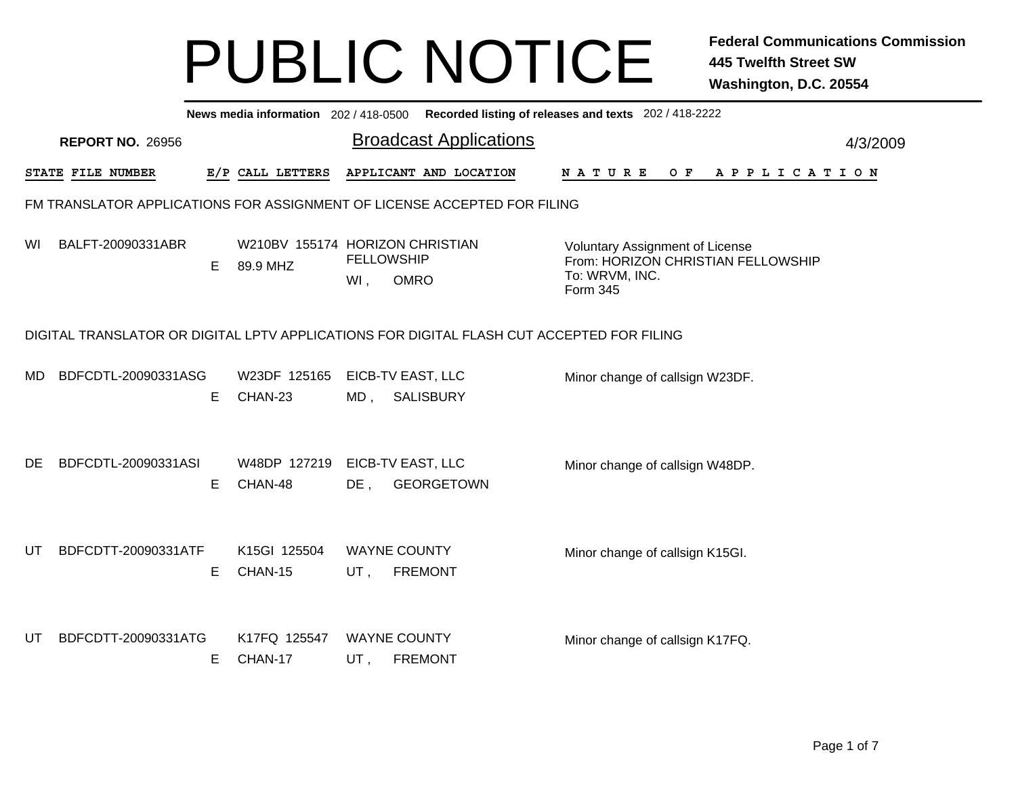|     |                         |    |                                             |        | News media information 202/418-0500 Recorded listing of releases and texts 202/418-2222   |                                                                                                            |          |
|-----|-------------------------|----|---------------------------------------------|--------|-------------------------------------------------------------------------------------------|------------------------------------------------------------------------------------------------------------|----------|
|     | <b>REPORT NO. 26956</b> |    |                                             |        | <b>Broadcast Applications</b>                                                             |                                                                                                            | 4/3/2009 |
|     | STATE FILE NUMBER       |    | E/P CALL LETTERS                            |        | APPLICANT AND LOCATION                                                                    | N A T U R E<br>O F<br>A P P L I C A T I O N                                                                |          |
|     |                         |    |                                             |        | FM TRANSLATOR APPLICATIONS FOR ASSIGNMENT OF LICENSE ACCEPTED FOR FILING                  |                                                                                                            |          |
| WI. | BALFT-20090331ABR       | E. | W210BV 155174 HORIZON CHRISTIAN<br>89.9 MHZ | $WI$ , | <b>FELLOWSHIP</b><br><b>OMRO</b>                                                          | <b>Voluntary Assignment of License</b><br>From: HORIZON CHRISTIAN FELLOWSHIP<br>To: WRVM, INC.<br>Form 345 |          |
|     |                         |    |                                             |        | DIGITAL TRANSLATOR OR DIGITAL LPTV APPLICATIONS FOR DIGITAL FLASH CUT ACCEPTED FOR FILING |                                                                                                            |          |
| MD. | BDFCDTL-20090331ASG     | E  | W23DF 125165<br>CHAN-23                     | MD,    | EICB-TV EAST, LLC<br><b>SALISBURY</b>                                                     | Minor change of callsign W23DF.                                                                            |          |
| DE. | BDFCDTL-20090331ASI     | Е  | W48DP 127219<br>CHAN-48                     | DE,    | EICB-TV EAST, LLC<br><b>GEORGETOWN</b>                                                    | Minor change of callsign W48DP.                                                                            |          |
| UT  | BDFCDTT-20090331ATF     | Е  | K15GI 125504<br>CHAN-15                     | UT,    | <b>WAYNE COUNTY</b><br><b>FREMONT</b>                                                     | Minor change of callsign K15GI.                                                                            |          |
| UT. | BDFCDTT-20090331ATG     | Е  | K17FQ 125547<br>CHAN-17                     | UT,    | <b>WAYNE COUNTY</b><br><b>FREMONT</b>                                                     | Minor change of callsign K17FQ.                                                                            |          |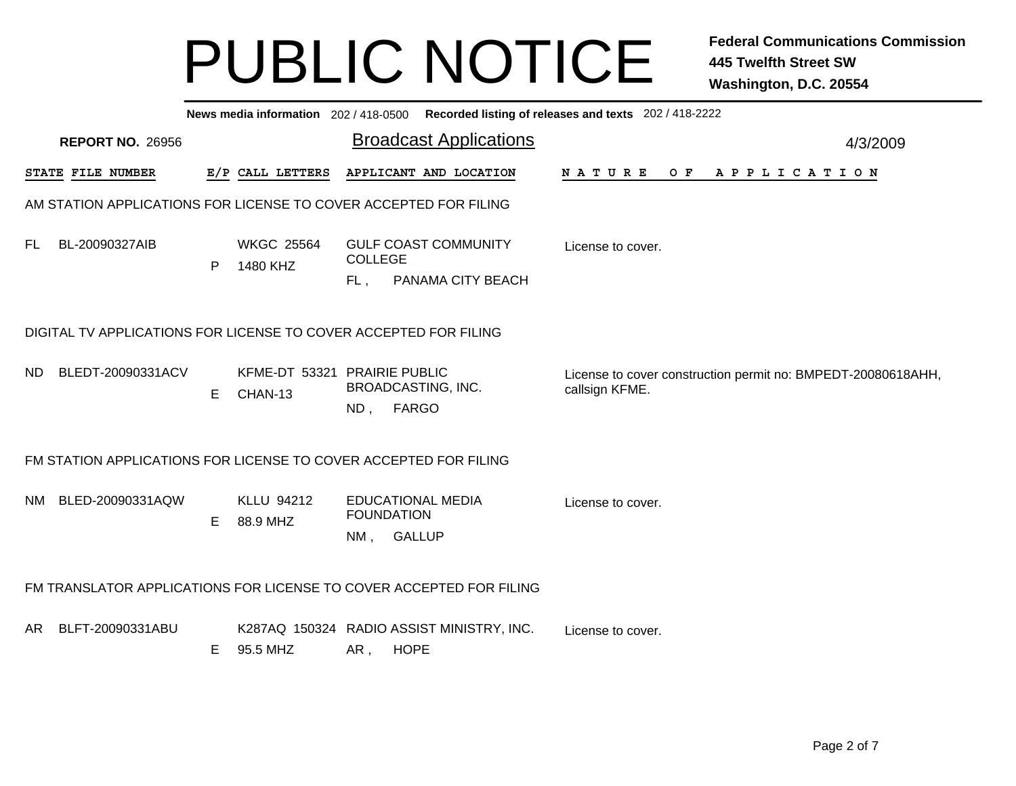|     |                         |    |                                                                  |                                                       | News media information 202/418-0500 Recorded listing of releases and texts 202/418-2222 |                   |  |  |  |                |                                                              |
|-----|-------------------------|----|------------------------------------------------------------------|-------------------------------------------------------|-----------------------------------------------------------------------------------------|-------------------|--|--|--|----------------|--------------------------------------------------------------|
|     | <b>REPORT NO. 26956</b> |    |                                                                  |                                                       | <b>Broadcast Applications</b>                                                           |                   |  |  |  |                | 4/3/2009                                                     |
|     | STATE FILE NUMBER       |    | E/P CALL LETTERS                                                 |                                                       | APPLICANT AND LOCATION                                                                  | N A T U R E       |  |  |  | OF APPLICATION |                                                              |
|     |                         |    | AM STATION APPLICATIONS FOR LICENSE TO COVER ACCEPTED FOR FILING |                                                       |                                                                                         |                   |  |  |  |                |                                                              |
| FL. | BL-20090327AIB          | P  | <b>WKGC 25564</b><br>1480 KHZ                                    | <b>COLLEGE</b><br>FL.                                 | <b>GULF COAST COMMUNITY</b><br>PANAMA CITY BEACH                                        | License to cover. |  |  |  |                |                                                              |
|     |                         |    | DIGITAL TV APPLICATIONS FOR LICENSE TO COVER ACCEPTED FOR FILING |                                                       |                                                                                         |                   |  |  |  |                |                                                              |
| ND. | BLEDT-20090331ACV       | E. | KFME-DT 53321 PRAIRIE PUBLIC<br>CHAN-13                          | BROADCASTING, INC.<br>ND, FARGO                       |                                                                                         | callsign KFME.    |  |  |  |                | License to cover construction permit no: BMPEDT-20080618AHH, |
|     |                         |    | FM STATION APPLICATIONS FOR LICENSE TO COVER ACCEPTED FOR FILING |                                                       |                                                                                         |                   |  |  |  |                |                                                              |
|     | NM BLED-20090331AQW     | E. | KLLU 94212<br>88.9 MHZ                                           | <b>EDUCATIONAL MEDIA</b><br><b>FOUNDATION</b><br>NM , | <b>GALLUP</b>                                                                           | License to cover. |  |  |  |                |                                                              |
|     |                         |    |                                                                  |                                                       | FM TRANSLATOR APPLICATIONS FOR LICENSE TO COVER ACCEPTED FOR FILING                     |                   |  |  |  |                |                                                              |
| AR. | BLFT-20090331ABU        | E. | 95.5 MHZ                                                         | <b>HOPE</b><br>AR,                                    | K287AQ 150324 RADIO ASSIST MINISTRY, INC.                                               | License to cover. |  |  |  |                |                                                              |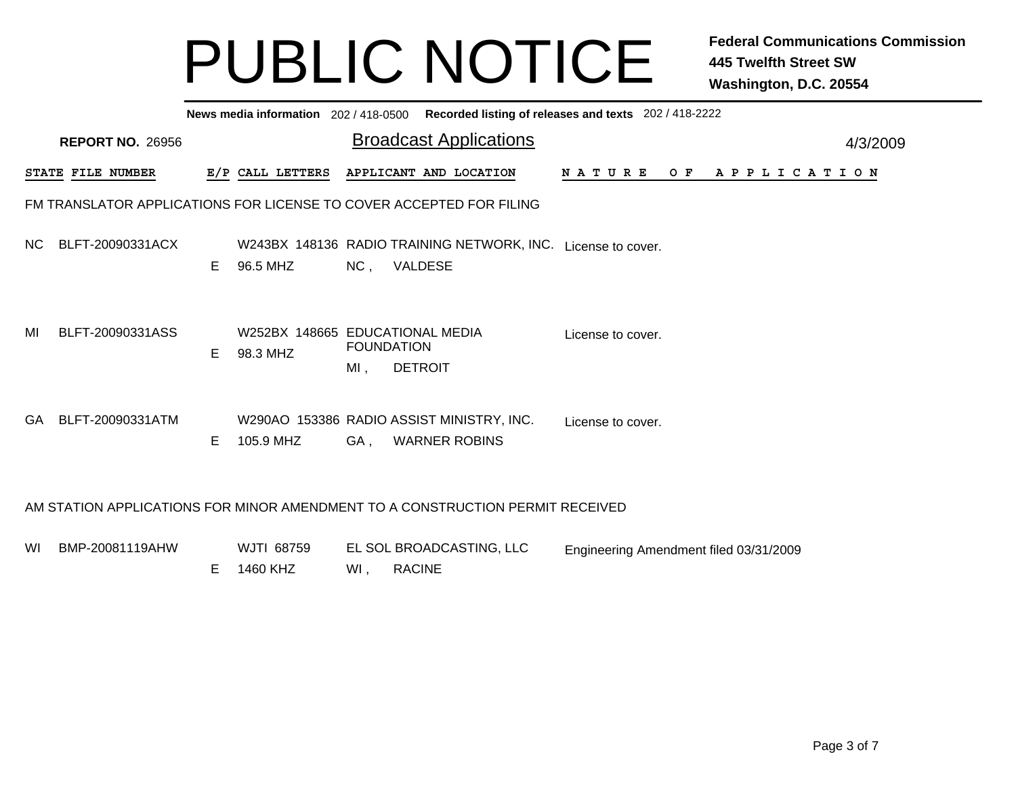|     |                                                                               |    | News media information 202 / 418-0500 Recorded listing of releases and texts 202 / 418-2222 |                          |                                           |                                        |  |  |                |          |
|-----|-------------------------------------------------------------------------------|----|---------------------------------------------------------------------------------------------|--------------------------|-------------------------------------------|----------------------------------------|--|--|----------------|----------|
|     | <b>REPORT NO. 26956</b>                                                       |    |                                                                                             |                          | <b>Broadcast Applications</b>             |                                        |  |  |                | 4/3/2009 |
|     | STATE FILE NUMBER                                                             |    | E/P CALL LETTERS                                                                            |                          | APPLICANT AND LOCATION                    | N A T U R E                            |  |  | OF APPLICATION |          |
|     | FM TRANSLATOR APPLICATIONS FOR LICENSE TO COVER ACCEPTED FOR FILING           |    |                                                                                             |                          |                                           |                                        |  |  |                |          |
| NC. | BLFT-20090331ACX                                                              | E. | W243BX 148136 RADIO TRAINING NETWORK, INC. License to cover.<br>96.5 MHZ                    | NC,                      | VALDESE                                   |                                        |  |  |                |          |
| MI  | BLFT-20090331ASS                                                              | F. | W252BX 148665 EDUCATIONAL MEDIA<br>98.3 MHZ                                                 | <b>FOUNDATION</b><br>MI, | <b>DETROIT</b>                            | License to cover.                      |  |  |                |          |
| GA. | BLFT-20090331ATM                                                              | E. | W290AO 153386 RADIO ASSIST MINISTRY, INC.<br>105.9 MHZ                                      | GA,                      | <b>WARNER ROBINS</b>                      | License to cover.                      |  |  |                |          |
|     | AM STATION APPLICATIONS FOR MINOR AMENDMENT TO A CONSTRUCTION PERMIT RECEIVED |    |                                                                                             |                          |                                           |                                        |  |  |                |          |
| WI. | BMP-20081119AHW                                                               | E. | WJTI 68759<br>1460 KHZ                                                                      | Wl,                      | EL SOL BROADCASTING, LLC<br><b>RACINE</b> | Engineering Amendment filed 03/31/2009 |  |  |                |          |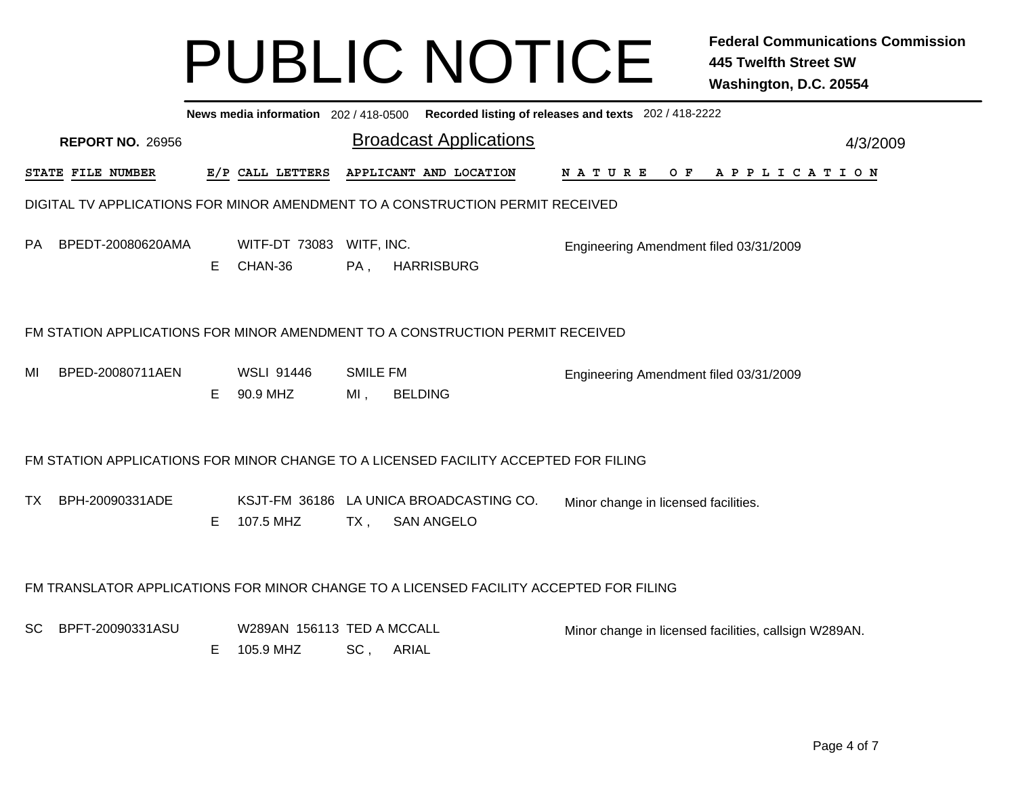|           |                         |    |                                         |                           | News media information 202 / 418-0500 Recorded listing of releases and texts 202 / 418-2222 |                                                       |                |  |  |  |          |  |
|-----------|-------------------------|----|-----------------------------------------|---------------------------|---------------------------------------------------------------------------------------------|-------------------------------------------------------|----------------|--|--|--|----------|--|
|           | <b>REPORT NO. 26956</b> |    |                                         |                           | <b>Broadcast Applications</b>                                                               |                                                       |                |  |  |  | 4/3/2009 |  |
|           | STATE FILE NUMBER       |    | E/P CALL LETTERS                        |                           | APPLICANT AND LOCATION                                                                      | N A T U R E                                           | OF APPLICATION |  |  |  |          |  |
|           |                         |    |                                         |                           | DIGITAL TV APPLICATIONS FOR MINOR AMENDMENT TO A CONSTRUCTION PERMIT RECEIVED               |                                                       |                |  |  |  |          |  |
| PA        | BPEDT-20080620AMA       | E. | WITF-DT 73083 WITF, INC.<br>CHAN-36     | PA,                       | <b>HARRISBURG</b>                                                                           | Engineering Amendment filed 03/31/2009                |                |  |  |  |          |  |
|           |                         |    |                                         |                           | FM STATION APPLICATIONS FOR MINOR AMENDMENT TO A CONSTRUCTION PERMIT RECEIVED               |                                                       |                |  |  |  |          |  |
| MI        | BPED-20080711AEN        | E. | <b>WSLI 91446</b><br>90.9 MHZ           | <b>SMILE FM</b><br>$MI$ , | <b>BELDING</b>                                                                              | Engineering Amendment filed 03/31/2009                |                |  |  |  |          |  |
|           |                         |    |                                         |                           | FM STATION APPLICATIONS FOR MINOR CHANGE TO A LICENSED FACILITY ACCEPTED FOR FILING         |                                                       |                |  |  |  |          |  |
| TX        | BPH-20090331ADE         | E  | 107.5 MHZ                               | TX ,                      | KSJT-FM 36186 LA UNICA BROADCASTING CO.<br><b>SAN ANGELO</b>                                | Minor change in licensed facilities.                  |                |  |  |  |          |  |
|           |                         |    |                                         |                           | FM TRANSLATOR APPLICATIONS FOR MINOR CHANGE TO A LICENSED FACILITY ACCEPTED FOR FILING      |                                                       |                |  |  |  |          |  |
| <b>SC</b> | BPFT-20090331ASU        | Е  | W289AN 156113 TED A MCCALL<br>105.9 MHZ | SC,                       | ARIAL                                                                                       | Minor change in licensed facilities, callsign W289AN. |                |  |  |  |          |  |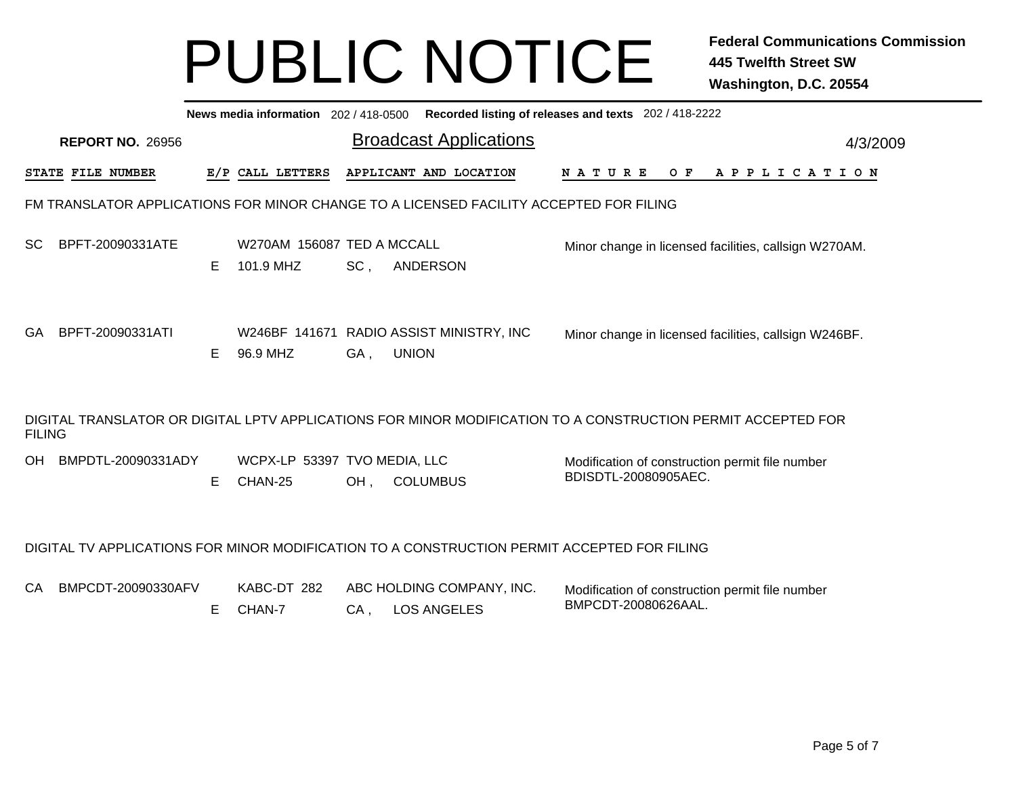|               |                         |    |                                         |        | News media information 202 / 418-0500 Recorded listing of releases and texts 202 / 418-2222 |                                                                                                              |          |
|---------------|-------------------------|----|-----------------------------------------|--------|---------------------------------------------------------------------------------------------|--------------------------------------------------------------------------------------------------------------|----------|
|               | <b>REPORT NO. 26956</b> |    |                                         |        | <b>Broadcast Applications</b>                                                               |                                                                                                              | 4/3/2009 |
|               | STATE FILE NUMBER       |    | E/P CALL LETTERS                        |        | APPLICANT AND LOCATION                                                                      | O F<br>N A T U R E<br>A P P L I C A T I O N                                                                  |          |
|               |                         |    |                                         |        | FM TRANSLATOR APPLICATIONS FOR MINOR CHANGE TO A LICENSED FACILITY ACCEPTED FOR FILING      |                                                                                                              |          |
| <b>SC</b>     | BPFT-20090331ATE        | E. | W270AM 156087 TED A MCCALL<br>101.9 MHZ | SC,    | ANDERSON                                                                                    | Minor change in licensed facilities, callsign W270AM.                                                        |          |
| GA.           | BPFT-20090331ATI        | E. | 96.9 MHZ                                | GA,    | W246BF 141671 RADIO ASSIST MINISTRY, INC<br><b>UNION</b>                                    | Minor change in licensed facilities, callsign W246BF.                                                        |          |
| <b>FILING</b> |                         |    |                                         |        |                                                                                             | DIGITAL TRANSLATOR OR DIGITAL LPTV APPLICATIONS FOR MINOR MODIFICATION TO A CONSTRUCTION PERMIT ACCEPTED FOR |          |
| OH            | BMPDTL-20090331ADY      | E. | WCPX-LP 53397 TVO MEDIA, LLC<br>CHAN-25 | OH,    | <b>COLUMBUS</b>                                                                             | Modification of construction permit file number<br>BDISDTL-20080905AEC.                                      |          |
|               |                         |    |                                         |        | DIGITAL TV APPLICATIONS FOR MINOR MODIFICATION TO A CONSTRUCTION PERMIT ACCEPTED FOR FILING |                                                                                                              |          |
| CA            | BMPCDT-20090330AFV      | E. | KABC-DT 282<br>CHAN-7                   | $CA$ , | ABC HOLDING COMPANY, INC.<br><b>LOS ANGELES</b>                                             | Modification of construction permit file number<br>BMPCDT-20080626AAL.                                       |          |
|               |                         |    |                                         |        |                                                                                             |                                                                                                              |          |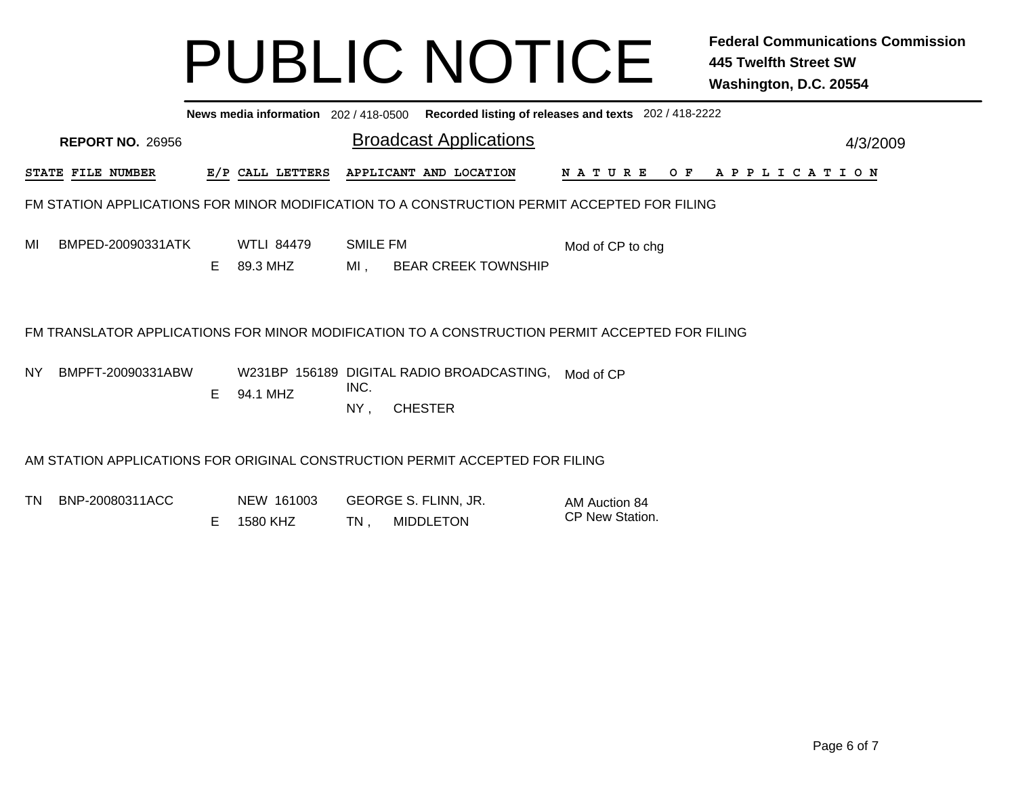|     | News media information 202 / 418-0500 Recorded listing of releases and texts 202 / 418-2222 |    |                               |                        |                                                                                             |                                                                                                |          |  |  |  |  |  |  |
|-----|---------------------------------------------------------------------------------------------|----|-------------------------------|------------------------|---------------------------------------------------------------------------------------------|------------------------------------------------------------------------------------------------|----------|--|--|--|--|--|--|
|     | <b>REPORT NO. 26956</b>                                                                     |    |                               |                        | <b>Broadcast Applications</b>                                                               |                                                                                                | 4/3/2009 |  |  |  |  |  |  |
|     | STATE FILE NUMBER                                                                           |    | E/P CALL LETTERS              |                        | APPLICANT AND LOCATION                                                                      | N A T U R E<br>O F<br>A P P L I C A T I O N                                                    |          |  |  |  |  |  |  |
|     |                                                                                             |    |                               |                        | FM STATION APPLICATIONS FOR MINOR MODIFICATION TO A CONSTRUCTION PERMIT ACCEPTED FOR FILING |                                                                                                |          |  |  |  |  |  |  |
| MI  | BMPED-20090331ATK                                                                           | E. | <b>WTLI 84479</b><br>89.3 MHZ | <b>SMILE FM</b><br>MI, | <b>BEAR CREEK TOWNSHIP</b>                                                                  | Mod of CP to chg                                                                               |          |  |  |  |  |  |  |
|     |                                                                                             |    |                               |                        |                                                                                             | FM TRANSLATOR APPLICATIONS FOR MINOR MODIFICATION TO A CONSTRUCTION PERMIT ACCEPTED FOR FILING |          |  |  |  |  |  |  |
| NY. | BMPFT-20090331ABW                                                                           | E. | 94.1 MHZ                      | INC.<br>NY,            | W231BP 156189 DIGITAL RADIO BROADCASTING,<br><b>CHESTER</b>                                 | Mod of CP                                                                                      |          |  |  |  |  |  |  |
|     | AM STATION APPLICATIONS FOR ORIGINAL CONSTRUCTION PERMIT ACCEPTED FOR FILING                |    |                               |                        |                                                                                             |                                                                                                |          |  |  |  |  |  |  |
| TN. | BNP-20080311ACC                                                                             | E  | NEW 161003<br>1580 KHZ        | TN.                    | GEORGE S. FLINN, JR.<br><b>MIDDLETON</b>                                                    | AM Auction 84<br>CP New Station.                                                               |          |  |  |  |  |  |  |